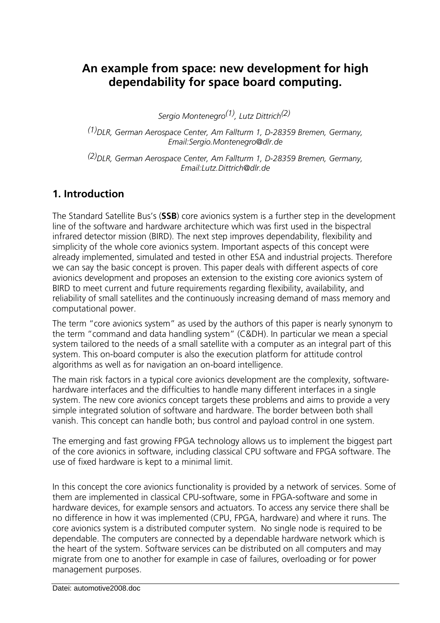# **An example from space: new development for high dependability for space board computing.**

*Sergio Montenegro(1), Lutz Dittrich(2)* 

*(1)DLR, German Aerospace Center, Am Fallturm 1, D-28359 Bremen, Germany, Email:Sergio.Montenegro@dlr.de* 

*(2)DLR, German Aerospace Center, Am Fallturm 1, D-28359 Bremen, Germany, Email:Lutz.Dittrich@dlr.de* 

## **1. Introduction**

The Standard Satellite Bus's (**SSB**) core avionics system is a further step in the development line of the software and hardware architecture which was first used in the bispectral infrared detector mission (BIRD). The next step improves dependability, flexibility and simplicity of the whole core avionics system. Important aspects of this concept were already implemented, simulated and tested in other ESA and industrial projects. Therefore we can say the basic concept is proven. This paper deals with different aspects of core avionics development and proposes an extension to the existing core avionics system of BIRD to meet current and future requirements regarding flexibility, availability, and reliability of small satellites and the continuously increasing demand of mass memory and computational power.

The term "core avionics system" as used by the authors of this paper is nearly synonym to the term "command and data handling system" (C&DH). In particular we mean a special system tailored to the needs of a small satellite with a computer as an integral part of this system. This on-board computer is also the execution platform for attitude control algorithms as well as for navigation an on-board intelligence.

The main risk factors in a typical core avionics development are the complexity, softwarehardware interfaces and the difficulties to handle many different interfaces in a single system. The new core avionics concept targets these problems and aims to provide a very simple integrated solution of software and hardware. The border between both shall vanish. This concept can handle both; bus control and payload control in one system.

The emerging and fast growing FPGA technology allows us to implement the biggest part of the core avionics in software, including classical CPU software and FPGA software. The use of fixed hardware is kept to a minimal limit.

In this concept the core avionics functionality is provided by a network of services. Some of them are implemented in classical CPU-software, some in FPGA-software and some in hardware devices, for example sensors and actuators. To access any service there shall be no difference in how it was implemented (CPU, FPGA, hardware) and where it runs. The core avionics system is a distributed computer system. No single node is required to be dependable. The computers are connected by a dependable hardware network which is the heart of the system. Software services can be distributed on all computers and may migrate from one to another for example in case of failures, overloading or for power management purposes.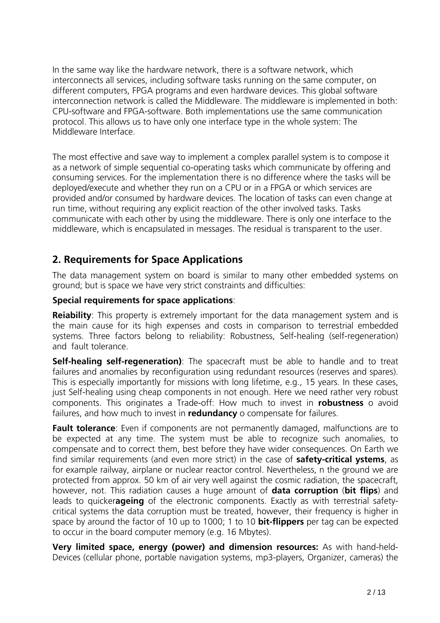In the same way like the hardware network, there is a software network, which interconnects all services, including software tasks running on the same computer, on different computers, FPGA programs and even hardware devices. This global software interconnection network is called the Middleware. The middleware is implemented in both: CPU-software and FPGA-software. Both implementations use the same communication protocol. This allows us to have only one interface type in the whole system: The Middleware Interface.

The most effective and save way to implement a complex parallel system is to compose it as a network of simple sequential co-operating tasks which communicate by offering and consuming services. For the implementation there is no difference where the tasks will be deployed/execute and whether they run on a CPU or in a FPGA or which services are provided and/or consumed by hardware devices. The location of tasks can even change at run time, without requiring any explicit reaction of the other involved tasks. Tasks communicate with each other by using the middleware. There is only one interface to the middleware, which is encapsulated in messages. The residual is transparent to the user.

# **2. Requirements for Space Applications**

The data management system on board is similar to many other embedded systems on ground; but is space we have very strict constraints and difficulties:

#### **Special requirements for space applications**:

**Reiability**: This property is extremely important for the data management system and is the main cause for its high expenses and costs in comparison to terrestrial embedded systems. Three factors belong to reliability: Robustness, Self-healing (self-regeneration) and fault tolerance

**Self-healing self-regeneration)**: The spacecraft must be able to handle and to treat failures and anomalies by reconfiguration using redundant resources (reserves and spares). This is especially importantly for missions with long lifetime, e.g., 15 years. In these cases, just Self-healing using cheap components in not enough. Here we need rather very robust components. This originates a Trade-off: How much to invest in **robustness** o avoid failures, and how much to invest in **redundancy** o compensate for failures.

**Fault tolerance**: Even if components are not permanently damaged, malfunctions are to be expected at any time. The system must be able to recognize such anomalies, to compensate and to correct them, best before they have wider consequences. On Earth we find similar requirements (and even more strict) in the case of **safety-critical ystems**, as for example railway, airplane or nuclear reactor control. Nevertheless, n the ground we are protected from approx. 50 km of air very well against the cosmic radiation, the spacecraft, however, not. This radiation causes a huge amount of **data corruption** (**bit flips**) and leads to quicker**ageing** of the electronic components. Exactly as with terrestrial safetycritical systems the data corruption must be treated, however, their frequency is higher in space by around the factor of 10 up to 1000; 1 to 10 **bit-flippers** per tag can be expected to occur in the board computer memory (e.g. 16 Mbytes).

**Very limited space, energy (power) and dimension resources:** As with hand-held-Devices (cellular phone, portable navigation systems, mp3-players, Organizer, cameras) the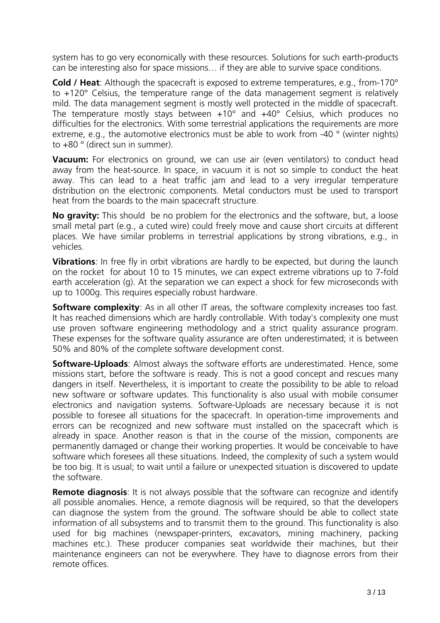system has to go very economically with these resources. Solutions for such earth-products can be interesting also for space missions… if they are able to survive space conditions.

**Cold / Heat**: Although the spacecraft is exposed to extreme temperatures, e.g., from-170° to  $+120^\circ$  Celsius, the temperature range of the data management segment is relatively mild. The data management segment is mostly well protected in the middle of spacecraft. The temperature mostly stays between  $+10^{\circ}$  and  $+40^{\circ}$  Celsius, which produces no difficulties for the electronics. With some terrestrial applications the requirements are more extreme, e.g., the automotive electronics must be able to work from -40 ° (winter nights) to +80 ° (direct sun in summer).

**Vacuum:** For electronics on ground, we can use air (even ventilators) to conduct head away from the heat-source. In space, in vacuum it is not so simple to conduct the heat away. This can lead to a heat traffic jam and lead to a very irregular temperature distribution on the electronic components. Metal conductors must be used to transport heat from the boards to the main spacecraft structure.

**No gravity:** This should be no problem for the electronics and the software, but, a loose small metal part (e.g., a cuted wire) could freely move and cause short circuits at different places. We have similar problems in terrestrial applications by strong vibrations, e.g., in vehicles.

**Vibrations**: In free fly in orbit vibrations are hardly to be expected, but during the launch on the rocket for about 10 to 15 minutes, we can expect extreme vibrations up to 7-fold earth acceleration (g). At the separation we can expect a shock for few microseconds with up to 1000g. This requires especially robust hardware.

**Software complexity**: As in all other IT areas, the software complexity increases too fast. It has reached dimensions which are hardly controllable. With today's complexity one must use proven software engineering methodology and a strict quality assurance program. These expenses for the software quality assurance are often underestimated; it is between 50% and 80% of the complete software development const.

**Software-Uploads**: Almost always the software efforts are underestimated. Hence, some missions start, before the software is ready. This is not a good concept and rescues many dangers in itself. Nevertheless, it is important to create the possibility to be able to reload new software or software updates. This functionality is also usual with mobile consumer electronics and navigation systems. Software-Uploads are necessary because it is not possible to foresee all situations for the spacecraft. In operation-time improvements and errors can be recognized and new software must installed on the spacecraft which is already in space. Another reason is that in the course of the mission, components are permanently damaged or change their working properties. It would be conceivable to have software which foresees all these situations. Indeed, the complexity of such a system would be too big. It is usual; to wait until a failure or unexpected situation is discovered to update the software.

**Remote diagnosis:** It is not always possible that the software can recognize and identify all possible anomalies. Hence, a remote diagnosis will be required, so that the developers can diagnose the system from the ground. The software should be able to collect state information of all subsystems and to transmit them to the ground. This functionality is also used for big machines (newspaper-printers, excavators, mining machinery, packing machines etc.). These producer companies seat worldwide their machines, but their maintenance engineers can not be everywhere. They have to diagnose errors from their remote offices.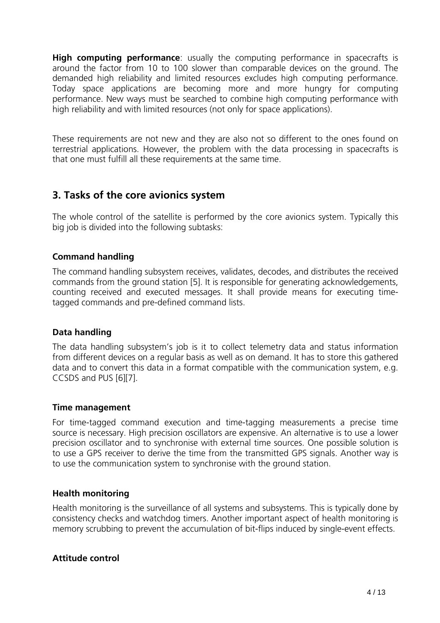**High computing performance**: usually the computing performance in spacecrafts is around the factor from 10 to 100 slower than comparable devices on the ground. The demanded high reliability and limited resources excludes high computing performance. Today space applications are becoming more and more hungry for computing performance. New ways must be searched to combine high computing performance with high reliability and with limited resources (not only for space applications).

These requirements are not new and they are also not so different to the ones found on terrestrial applications. However, the problem with the data processing in spacecrafts is that one must fulfill all these requirements at the same time.

### **3. Tasks of the core avionics system**

The whole control of the satellite is performed by the core avionics system. Typically this big job is divided into the following subtasks:

#### **Command handling**

The command handling subsystem receives, validates, decodes, and distributes the received commands from the ground station [5]. It is responsible for generating acknowledgements, counting received and executed messages. It shall provide means for executing timetagged commands and pre-defined command lists.

#### **Data handling**

The data handling subsystem's job is it to collect telemetry data and status information from different devices on a regular basis as well as on demand. It has to store this gathered data and to convert this data in a format compatible with the communication system, e.g. CCSDS and PUS [6][7].

#### **Time management**

For time-tagged command execution and time-tagging measurements a precise time source is necessary. High precision oscillators are expensive. An alternative is to use a lower precision oscillator and to synchronise with external time sources. One possible solution is to use a GPS receiver to derive the time from the transmitted GPS signals. Another way is to use the communication system to synchronise with the ground station.

#### **Health monitoring**

Health monitoring is the surveillance of all systems and subsystems. This is typically done by consistency checks and watchdog timers. Another important aspect of health monitoring is memory scrubbing to prevent the accumulation of bit-flips induced by single-event effects.

#### **Attitude control**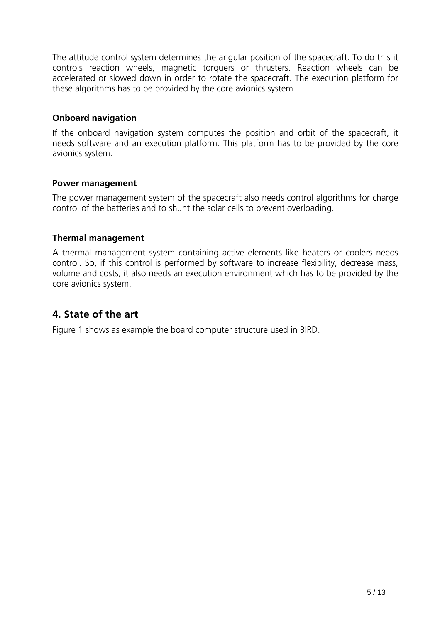The attitude control system determines the angular position of the spacecraft. To do this it controls reaction wheels, magnetic torquers or thrusters. Reaction wheels can be accelerated or slowed down in order to rotate the spacecraft. The execution platform for these algorithms has to be provided by the core avionics system.

#### **Onboard navigation**

If the onboard navigation system computes the position and orbit of the spacecraft, it needs software and an execution platform. This platform has to be provided by the core avionics system.

#### **Power management**

The power management system of the spacecraft also needs control algorithms for charge control of the batteries and to shunt the solar cells to prevent overloading.

#### **Thermal management**

A thermal management system containing active elements like heaters or coolers needs control. So, if this control is performed by software to increase flexibility, decrease mass, volume and costs, it also needs an execution environment which has to be provided by the core avionics system.

### **4. State of the art**

Figure 1 shows as example the board computer structure used in BIRD.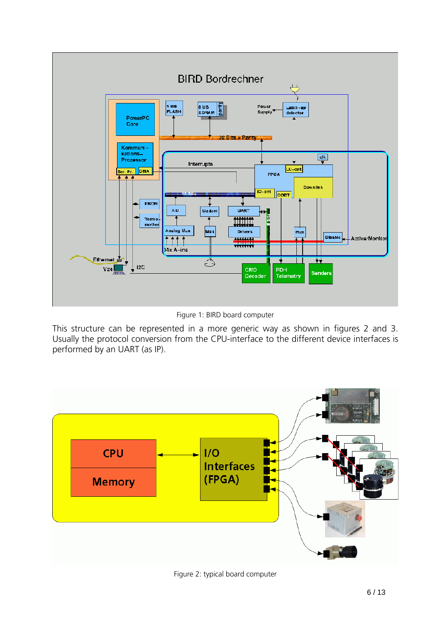

Figure 1: BIRD board computer

This structure can be represented in a more generic way as shown in figures 2 and 3. Usually the protocol conversion from the CPU-interface to the different device interfaces is performed by an UART (as IP).



Figure 2: typical board computer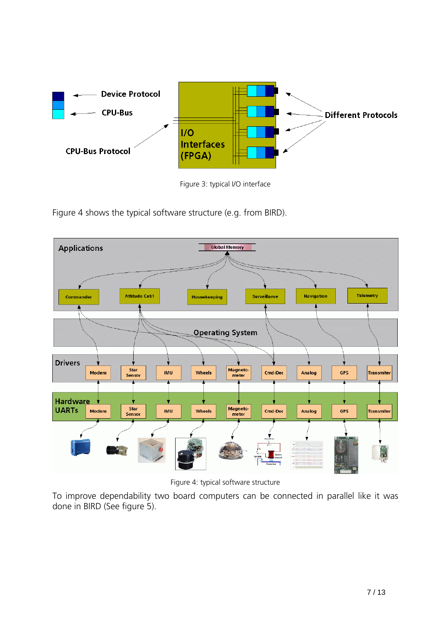

Figure 3: typical I/O interface

Figure 4 shows the typical software structure (e.g. from BIRD).



Figure 4: typical software structure

To improve dependability two board computers can be connected in parallel like it was done in BIRD (See figure 5).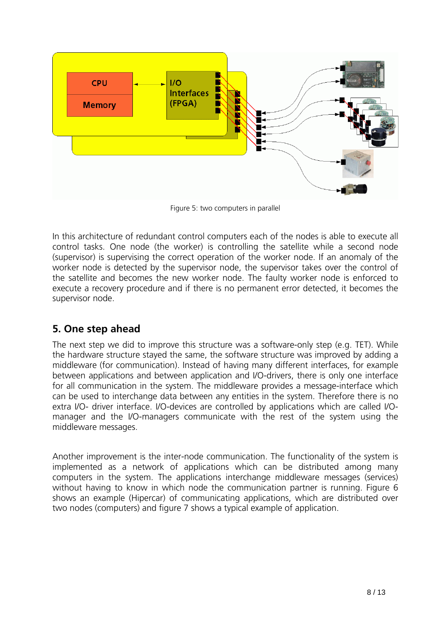

Figure 5: two computers in parallel

In this architecture of redundant control computers each of the nodes is able to execute all control tasks. One node (the worker) is controlling the satellite while a second node (supervisor) is supervising the correct operation of the worker node. If an anomaly of the worker node is detected by the supervisor node, the supervisor takes over the control of the satellite and becomes the new worker node. The faulty worker node is enforced to execute a recovery procedure and if there is no permanent error detected, it becomes the supervisor node.

# **5. One step ahead**

The next step we did to improve this structure was a software-only step (e.g. TET). While the hardware structure stayed the same, the software structure was improved by adding a middleware (for communication). Instead of having many different interfaces, for example between applications and between application and I/O-drivers, there is only one interface for all communication in the system. The middleware provides a message-interface which can be used to interchange data between any entities in the system. Therefore there is no extra I/O- driver interface. I/O-devices are controlled by applications which are called I/Omanager and the I/O-managers communicate with the rest of the system using the middleware messages.

Another improvement is the inter-node communication. The functionality of the system is implemented as a network of applications which can be distributed among many computers in the system. The applications interchange middleware messages (services) without having to know in which node the communication partner is running. Figure 6 shows an example (Hipercar) of communicating applications, which are distributed over two nodes (computers) and figure 7 shows a typical example of application.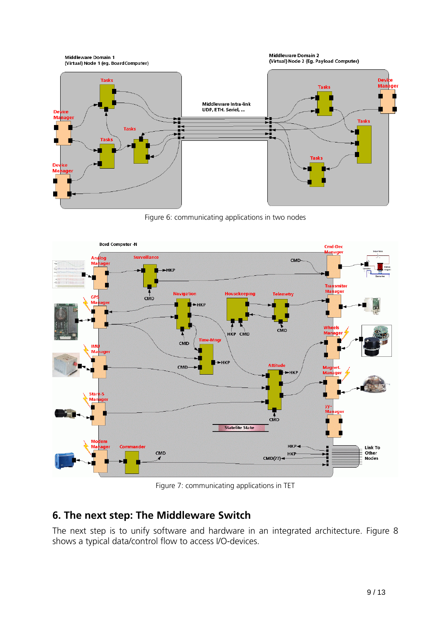

Figure 6: communicating applications in two nodes



Figure 7: communicating applications in TET

# **6. The next step: The Middleware Switch**

The next step is to unify software and hardware in an integrated architecture. Figure 8 shows a typical data/control flow to access I/O-devices.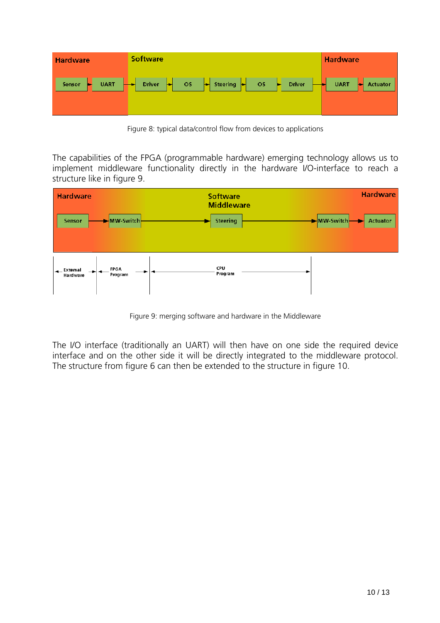| <b>Hardware</b>                             | <b>Software</b>                                                                                    | <b>Hardware</b>               |
|---------------------------------------------|----------------------------------------------------------------------------------------------------|-------------------------------|
| UART $\left  \rightarrow \right $<br>Sensor | OS <mark>→</mark> Steering <mark>→</mark> OS p<br>Driver $\left  \bullet \right $<br>Driver -<br>ы | <b>UART</b><br>┡┪<br>Actuator |

Figure 8: typical data/control flow from devices to applications

The capabilities of the FPGA (programmable hardware) emerging technology allows us to implement middleware functionality directly in the hardware I/O-interface to reach a structure like in figure 9.



Figure 9: merging software and hardware in the Middleware

The I/O interface (traditionally an UART) will then have on one side the required device interface and on the other side it will be directly integrated to the middleware protocol. The structure from figure 6 can then be extended to the structure in figure 10.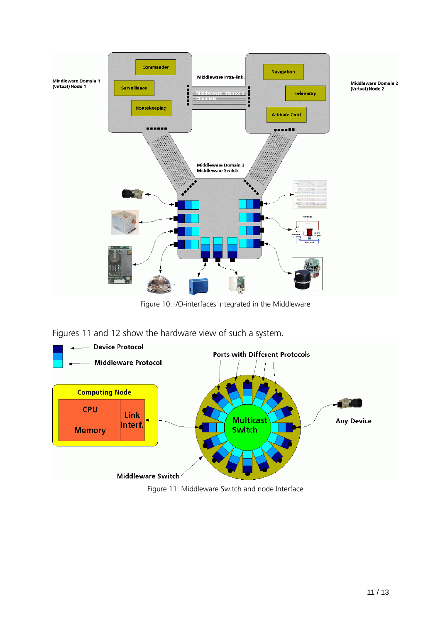

Figure 10: I/O-interfaces integrated in the Middleware

Figures 11 and 12 show the hardware view of such a system.



Figure 11: Middleware Switch and node Interface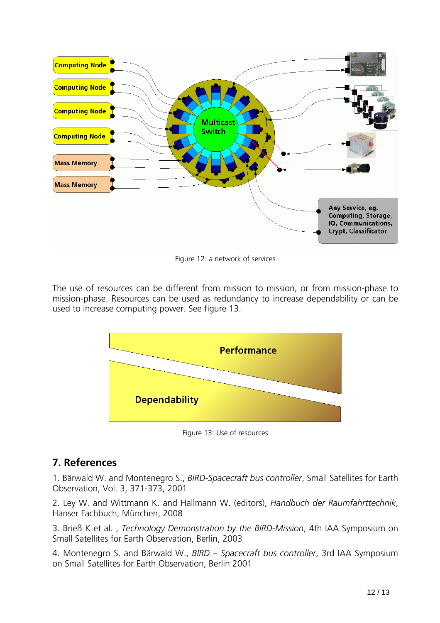

Figure 12: a network of services

The use of resources can be different from mission to mission, or from mission-phase to mission-phase. Resources can be used as redundancy to increase dependability or can be used to increase computing power. See figure 13.



Figure 13: Use of resources

### **7. References**

1. Bärwald W. and Montenegro S., *BIRD-Spacecraft bus controller*, Small Satellites for Earth Observation, Vol. 3, 371-373, 2001

2. Ley W. and Wittmann K. and Hallmann W. (editors), *Handbuch der Raumfahrttechnik*, Hanser Fachbuch, München, 2008

3. Brieß K et al. , *Technology Demonstration by the BIRD-Mission*, 4th IAA Symposium on Small Satellites for Earth Observation, Berlin, 2003

4. Montenegro S. and Bärwald W., *BIRD – Spacecraft bus controller*, 3rd IAA Symposium on Small Satellites for Earth Observation, Berlin 2001